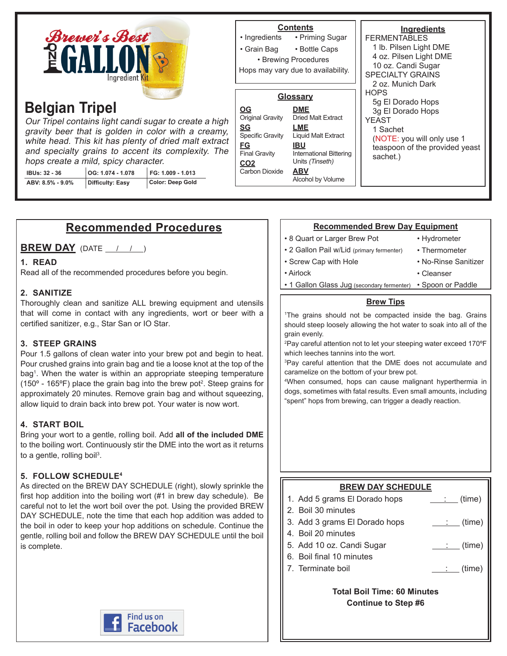| <b>Brewer's Best</b><br><b>NGALLO'</b><br>Ingredient Kit                                                                                                                                                                                                                                                                                                                                                                                  | <b>Contents</b><br>• Priming Sugar<br>• Ingredients<br>• Grain Bag<br>• Bottle Caps<br>• Brewing Procedures<br>Hops may vary due to availability.                                                                                                                                                                                   | Ingredients<br><b>FERMENTABLES</b><br>1 lb. Pilsen Light DME<br>4 oz. Pilsen Light DME<br>10 oz. Candi Sugar<br><b>SPECIALTY GRAINS</b><br>2 oz. Munich Dark |
|-------------------------------------------------------------------------------------------------------------------------------------------------------------------------------------------------------------------------------------------------------------------------------------------------------------------------------------------------------------------------------------------------------------------------------------------|-------------------------------------------------------------------------------------------------------------------------------------------------------------------------------------------------------------------------------------------------------------------------------------------------------------------------------------|--------------------------------------------------------------------------------------------------------------------------------------------------------------|
| <b>Belgian Tripel</b><br>Our Tripel contains light candi sugar to create a high<br>gravity beer that is golden in color with a creamy,<br>white head. This kit has plenty of dried malt extract<br>and specialty grains to accent its complexity. The<br>hops create a mild, spicy character.<br>FG: 1.009 - 1.013<br>OG: 1.074 - 1.078<br><b>IBUs: 32 - 36</b><br><b>Color: Deep Gold</b><br><b>Difficulty: Easy</b><br>ABV: 8.5% - 9.0% | Glossary<br><b>DME</b><br><u>OG</u><br>Original Gravity<br><b>Dried Malt Extract</b><br><u>SG</u><br>LME<br><b>Specific Gravity</b><br>Liquid Malt Extract<br><b>FG</b><br><b>IBU</b><br><b>Final Gravity</b><br>International Bittering<br>Units (Tinseth)<br>CO <sub>2</sub><br>Carbon Dioxide<br><b>ABV</b><br>Alcohol by Volume | <b>HOPS</b><br>5g El Dorado Hops<br>3g El Dorado Hops<br>YEAST<br>1 Sachet<br>(NOTE: you will only use 1)<br>teaspoon of the provided yeast<br>sachet.)      |

# **Recommended Procedures**

**BREW DAY** (DATE  $\left( \begin{array}{ccc} 1 & 1 \end{array} \right)$ 

# **1. READ**

Read all of the recommended procedures before you begin.

# **2. SANITIZE**

Thoroughly clean and sanitize ALL brewing equipment and utensils that will come in contact with any ingredients, wort or beer with a certified sanitizer, e.g., Star San or IO Star.

# **3. STEEP GRAINS**

Pour 1.5 gallons of clean water into your brew pot and begin to heat. Pour crushed grains into grain bag and tie a loose knot at the top of the bag1 . When the water is within an appropriate steeping temperature (150 $\textdegree$  - 165 $\textdegree$ F) place the grain bag into the brew pot<sup>2</sup>. Steep grains for approximately 20 minutes. Remove grain bag and without squeezing, allow liquid to drain back into brew pot. Your water is now wort.

# **4. START BOIL**

Bring your wort to a gentle, rolling boil. Add **all of the included DME** to the boiling wort. Continuously stir the DME into the wort as it returns to a gentle, rolling boil<sup>3</sup>.

# **5. FOLLOW SCHEDULE4**

As directed on the BREW DAY SCHEDULE (right), slowly sprinkle the first hop addition into the boiling wort (#1 in brew day schedule). Be careful not to let the wort boil over the pot. Using the provided BREW DAY SCHEDULE, note the time that each hop addition was added to the boil in oder to keep your hop additions on schedule. Continue the gentle, rolling boil and follow the BREW DAY SCHEDULE until the boil is complete.



#### **Recommended Brew Day Equipment**

- 8 Quart or Larger Brew Pot
- Hydrometer
- 2 Gallon Pail w/Lid (primary fermenter) • Screw Cap with Hole
- Thermometer • No-Rinse Sanitizer

- Airlock
- Cleanser
- 1 Gallon Glass Jug (secondary fermenter) Spoon or Paddle

#### **Brew Tips**

1 The grains should not be compacted inside the bag. Grains should steep loosely allowing the hot water to soak into all of the grain evenly.

2 Pay careful attention not to let your steeping water exceed 170ºF which leeches tannins into the wort.

3 Pay careful attention that the DME does not accumulate and caramelize on the bottom of your brew pot.

4 When consumed, hops can cause malignant hyperthermia in dogs, sometimes with fatal results. Even small amounts, including "spent" hops from brewing, can trigger a deadly reaction.

# **BREW DAY SCHEDULE**

- 1. Add 5 grams El Dorado hops  $\qquad \qquad \therefore$  (time)
- 2. Boil 30 minutes
- 3. Add 3 grams El Dorado hops  $\qquad \qquad \qquad$  (time)
- 4. Boil 20 minutes
- 5. Add 10 oz. Candi Sugar  $\qquad \qquad \qquad$  : (time)
- 6. Boil final 10 minutes
- 7. Terminate boil  $\qquad \qquad \qquad \qquad$  (time)

**Total Boil Time: 60 Minutes Continue to Step #6**